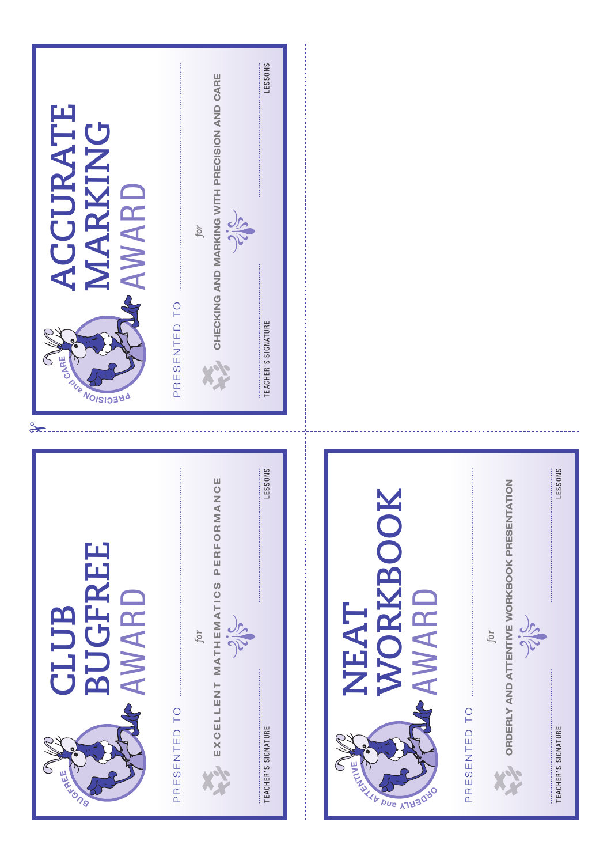| BUGFREE<br><b>AWARD</b><br>CLUB<br>AR-150NB                            |                                | ACCURATE<br>MARKING<br><b>E AWARD</b><br>ARE AVOISIT                                                         |
|------------------------------------------------------------------------|--------------------------------|--------------------------------------------------------------------------------------------------------------|
| MATHEMATICS<br>for<br>EXCELLENT<br>PRESENTED TO<br>TEACHER'S SIGNATURE | LESSONS<br>U<br>O<br>PERFORMAN | <b>LESSONS</b><br>CHECKING AND MARKING WITH PRECISION AND CARE<br>for<br>PRESENTED TO<br>TEACHER'S SIGNATURE |

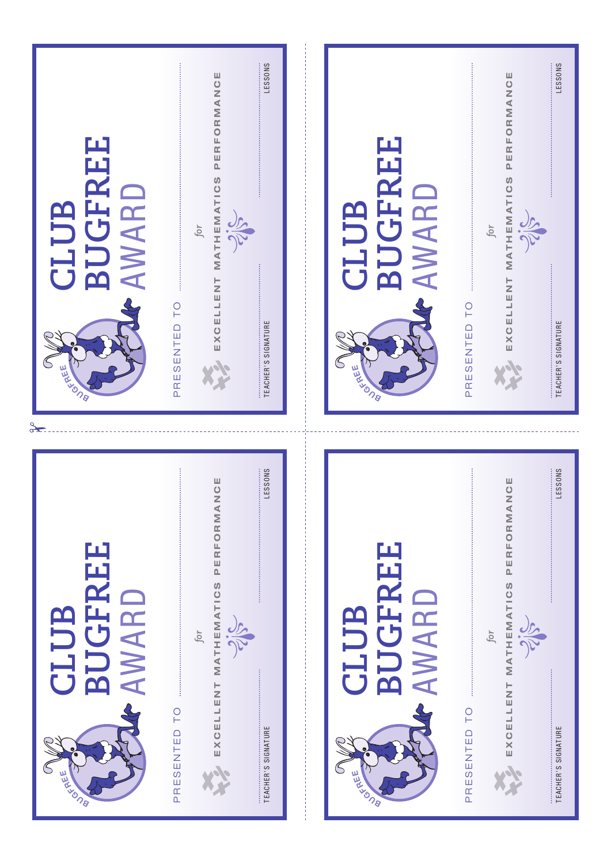| UGFREE                                                                                                   | <b>GFREE</b>                                                                                                                  |
|----------------------------------------------------------------------------------------------------------|-------------------------------------------------------------------------------------------------------------------------------|
| AWARD                                                                                                    | AWARI                                                                                                                         |
| <b>CLUB</b>                                                                                              | $\bigcup$                                                                                                                     |
| $\overline{\mathbf{D}}$                                                                                  | $\gamma_{\hat{Q}}$                                                                                                            |
| $\gamma_{\hat{Q}}$                                                                                       | $\frac{6}{5}$                                                                                                                 |
| LESSONS<br>U<br>O<br>PERFORMAN<br>MATHEMATICS<br>for<br>EXCELLENT<br>PRESENTED TO<br>TEACHER'S SIGNATURE | LESSONS<br>PERFORMANCE<br>S<br>MATHEMATIC<br>for<br>EXCELLENT<br>$\overline{\phantom{0}}$<br>TEACHER'S SIGNATURE<br>PRESENTED |
| <b>UGFREE</b><br>AWARD<br><b>ELLIE</b><br>$\overline{\mathbf{D}}$<br>$\gamma_{\hat{Q}}$                  | GFREE<br>AWARI<br>$\gamma_{\hat{Q}}$                                                                                          |
| LESSONS                                                                                                  | LESSONS                                                                                                                       |
| U<br>O                                                                                                   | PERFORMANCE                                                                                                                   |
| PERFORMAN                                                                                                | MATHEMATICS                                                                                                                   |
| MATHEMATICS                                                                                              | for                                                                                                                           |
| for                                                                                                      | EXCELLENT                                                                                                                     |
| EXCELLENT                                                                                                | $\overline{\overline{C}}$                                                                                                     |
| PRESENTED TO                                                                                             | TEACHER'S SIGNATURE                                                                                                           |
| TEACHER'S SIGNATURE                                                                                      | PRESENTED                                                                                                                     |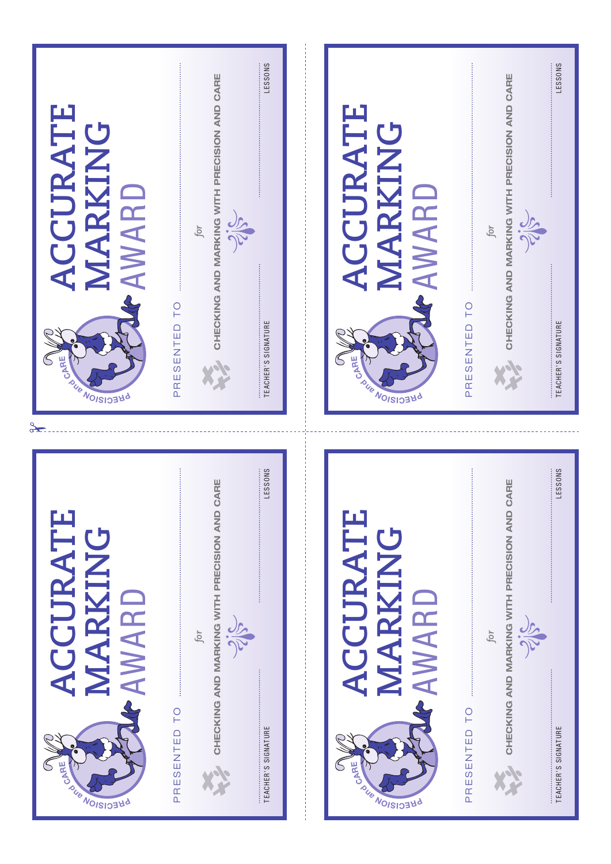| ACCURATE<br>MARKING<br><b>AWARD</b><br>PUE<br><b>NOISION</b>                                          | ACCURATE<br>MARKIN<br>AWARD<br><b>GARE</b><br><b>PRECISION AND</b>                                                                          |
|-------------------------------------------------------------------------------------------------------|---------------------------------------------------------------------------------------------------------------------------------------------|
| LESSONS<br>CHECKING AND MARKING WITH PRECISION AND CARE<br>for<br>PRESENTED TO<br>TEACHER'S SIGNATURE | LESSONS<br>CHECKING AND MARKING WITH PRECISION AND CARE<br>TO <sub>1</sub><br>$\overline{\overline{C}}$<br>PRESENTED<br>TEACHER'S SIGNATURE |
| ACCURATE<br>MARKING<br><b>AWARD</b><br><b>NECISION</b>                                                | ACCURATE<br>MARKING<br>AWARD<br><b>GARE</b><br>PUE<br><b>NOISION</b>                                                                        |
| LESSONS<br>CHECKING AND MARKING WITH PRECISION AND CARE<br>for<br>PRESENTED TO<br>TEACHER'S SIGNATURE | LESSONS<br>CHECKING AND MARKING WITH PRECISION AND CARE<br>for<br>$\overline{\overline{C}}$<br>PRESENTED<br>TEACHER'S SIGNATURE             |